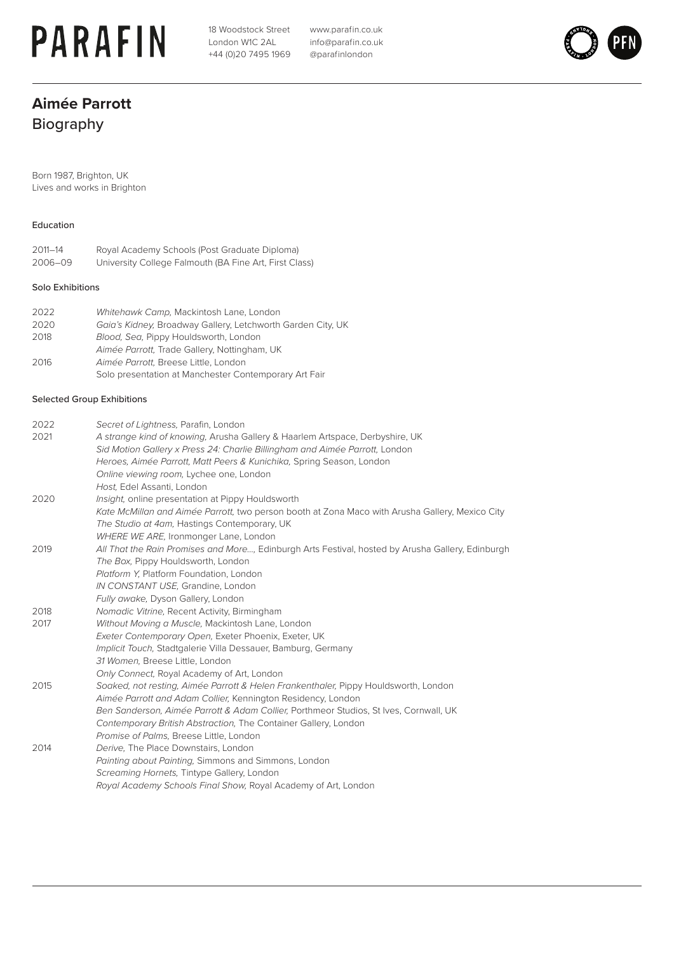# **PARAFIN**

18 Woodstock Street London W1C 2AL +44 (0)20 7495 1969 www.parafin.co.uk info@parafin.co.uk @parafinlondon



### **Aimée Parrott** Biography

Born 1987, Brighton, UK Lives and works in Brighton

#### Education

2011–14 Royal Academy Schools (Post Graduate Diploma) University College Falmouth (BA Fine Art, First Class)

#### Solo Exhibitions

| 2022 | Whitehawk Camp, Mackintosh Lane, London                     |
|------|-------------------------------------------------------------|
| 2020 | Gaia's Kidney, Broadway Gallery, Letchworth Garden City, UK |
| 2018 | Blood, Sea, Pippy Houldsworth, London                       |
|      | Aimée Parrott, Trade Gallery, Nottingham, UK                |
| 2016 | Aimée Parrott. Breese Little, London                        |
|      | Solo presentation at Manchester Contemporary Art Fair       |

#### Selected Group Exhibitions

| 2022 | Secret of Lightness, Parafin, London                                                              |
|------|---------------------------------------------------------------------------------------------------|
| 2021 | A strange kind of knowing, Arusha Gallery & Haarlem Artspace, Derbyshire, UK                      |
|      | Sid Motion Gallery x Press 24: Charlie Billingham and Aimée Parrott, London                       |
|      | Heroes, Aimée Parrott, Matt Peers & Kunichika, Spring Season, London                              |
|      | Online viewing room, Lychee one, London                                                           |
|      | Host, Edel Assanti, London                                                                        |
| 2020 | Insight, online presentation at Pippy Houldsworth                                                 |
|      | Kate McMillan and Aimée Parrott, two person booth at Zona Maco with Arusha Gallery, Mexico City   |
|      | The Studio at 4am, Hastings Contemporary, UK                                                      |
|      | WHERE WE ARE, Ironmonger Lane, London                                                             |
| 2019 | All That the Rain Promises and More, Edinburgh Arts Festival, hosted by Arusha Gallery, Edinburgh |
|      | The Box, Pippy Houldsworth, London                                                                |
|      | Platform Y, Platform Foundation, London                                                           |
|      | IN CONSTANT USE, Grandine, London                                                                 |
|      | Fully awake, Dyson Gallery, London                                                                |
| 2018 | Nomadic Vitrine, Recent Activity, Birmingham                                                      |
| 2017 | Without Moving a Muscle, Mackintosh Lane, London                                                  |
|      | Exeter Contemporary Open, Exeter Phoenix, Exeter, UK                                              |
|      | Implicit Touch, Stadtgalerie Villa Dessauer, Bamburg, Germany                                     |
|      | 31 Women, Breese Little, London                                                                   |
|      | Only Connect, Royal Academy of Art, London                                                        |
| 2015 | Soaked, not resting, Aimée Parrott & Helen Frankenthaler, Pippy Houldsworth, London               |
|      | Aimée Parrott and Adam Collier, Kennington Residency, London                                      |
|      | Ben Sanderson, Aimée Parrott & Adam Collier, Porthmeor Studios, St Ives, Cornwall, UK             |
|      | Contemporary British Abstraction, The Container Gallery, London                                   |
|      | Promise of Palms, Breese Little, London                                                           |
| 2014 | Derive, The Place Downstairs, London                                                              |
|      | Painting about Painting, Simmons and Simmons, London                                              |
|      | Screaming Hornets, Tintype Gallery, London                                                        |
|      | Royal Academy Schools Final Show, Royal Academy of Art, London                                    |